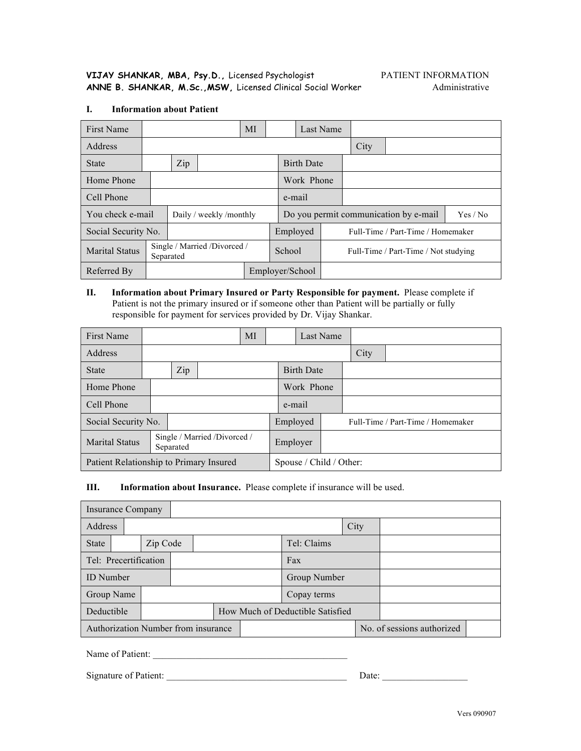#### **I. Information about Patient**

| First Name            |                                            |  |                         | МI       |                                       |  | Last Name                            |          |  |  |
|-----------------------|--------------------------------------------|--|-------------------------|----------|---------------------------------------|--|--------------------------------------|----------|--|--|
| Address               |                                            |  |                         |          |                                       |  |                                      | City     |  |  |
| <b>State</b>          | Zip                                        |  |                         |          | <b>Birth Date</b>                     |  |                                      |          |  |  |
| Home Phone            |                                            |  |                         |          | Work Phone                            |  |                                      |          |  |  |
| Cell Phone            |                                            |  |                         | e-mail   |                                       |  |                                      |          |  |  |
| You check e-mail      |                                            |  | Daily / weekly /monthly |          | Do you permit communication by e-mail |  |                                      | Yes / No |  |  |
| Social Security No.   |                                            |  |                         | Employed |                                       |  | Full-Time / Part-Time / Homemaker    |          |  |  |
| <b>Marital Status</b> | Single / Married / Divorced /<br>Separated |  |                         | School   |                                       |  | Full-Time / Part-Time / Not studying |          |  |  |
| Referred By           | Employer/School                            |  |                         |          |                                       |  |                                      |          |  |  |

**II. Information about Primary Insured or Party Responsible for payment.** Please complete if Patient is not the primary insured or if someone other than Patient will be partially or fully responsible for payment for services provided by Dr. Vijay Shankar.

| <b>First Name</b>                       |                     |           |                               | MI       |  | Last Name         |  |                                   |  |  |
|-----------------------------------------|---------------------|-----------|-------------------------------|----------|--|-------------------|--|-----------------------------------|--|--|
| Address                                 |                     |           |                               |          |  |                   |  | City                              |  |  |
| <b>State</b>                            |                     | Zip       |                               |          |  | <b>Birth Date</b> |  |                                   |  |  |
| Home Phone                              |                     |           |                               |          |  | Work Phone        |  |                                   |  |  |
| Cell Phone                              |                     |           |                               | e-mail   |  |                   |  |                                   |  |  |
|                                         | Social Security No. |           |                               | Employed |  |                   |  | Full-Time / Part-Time / Homemaker |  |  |
| <b>Marital Status</b>                   |                     | Separated | Single / Married / Divorced / |          |  | Employer          |  |                                   |  |  |
| Patient Relationship to Primary Insured |                     |           | Spouse / Child / Other:       |          |  |                   |  |                                   |  |  |

#### **III. Information about Insurance.** Please complete if insurance will be used.

| Insurance Company                                                 |  |          |  |              |                                  |             |             |      |  |  |  |
|-------------------------------------------------------------------|--|----------|--|--------------|----------------------------------|-------------|-------------|------|--|--|--|
| Address                                                           |  |          |  |              |                                  |             |             | City |  |  |  |
| <b>State</b>                                                      |  | Zip Code |  |              |                                  | Tel: Claims |             |      |  |  |  |
| Tel: Precertification                                             |  |          |  |              | Fax                              |             |             |      |  |  |  |
| <b>ID</b> Number                                                  |  |          |  | Group Number |                                  |             |             |      |  |  |  |
| Group Name                                                        |  |          |  |              |                                  |             | Copay terms |      |  |  |  |
| Deductible                                                        |  |          |  |              | How Much of Deductible Satisfied |             |             |      |  |  |  |
| Authorization Number from insurance<br>No. of sessions authorized |  |          |  |              |                                  |             |             |      |  |  |  |

Name of Patient: \_\_\_\_\_\_\_\_\_\_\_\_\_\_\_\_\_\_\_\_\_\_\_\_\_\_\_\_\_\_\_\_\_\_\_\_\_\_\_\_\_

Signature of Patient: \_\_\_\_\_\_\_\_\_\_\_\_\_\_\_\_\_\_\_\_\_\_\_\_\_\_\_\_\_\_\_\_\_\_\_\_\_\_ Date: \_\_\_\_\_\_\_\_\_\_\_\_\_\_\_\_\_\_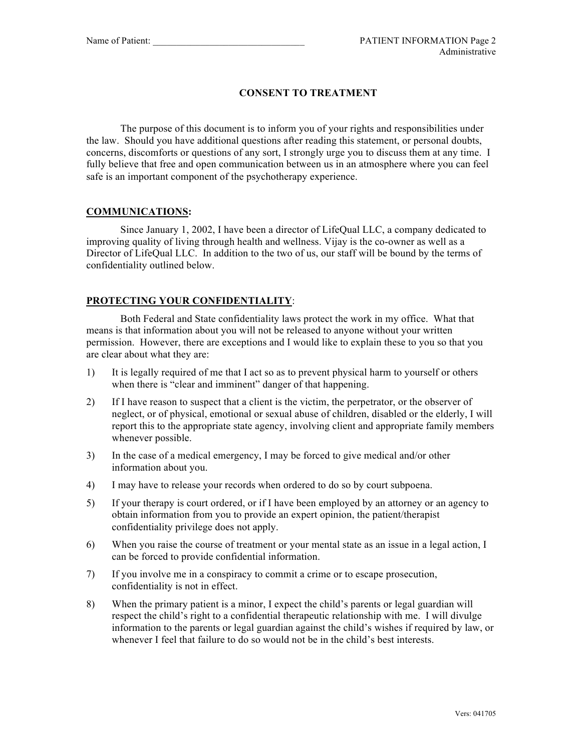## **CONSENT TO TREATMENT**

The purpose of this document is to inform you of your rights and responsibilities under the law. Should you have additional questions after reading this statement, or personal doubts, concerns, discomforts or questions of any sort, I strongly urge you to discuss them at any time. I fully believe that free and open communication between us in an atmosphere where you can feel safe is an important component of the psychotherapy experience.

### **COMMUNICATIONS:**

Since January 1, 2002, I have been a director of LifeQual LLC, a company dedicated to improving quality of living through health and wellness. Vijay is the co-owner as well as a Director of LifeQual LLC. In addition to the two of us, our staff will be bound by the terms of confidentiality outlined below.

## **PROTECTING YOUR CONFIDENTIALITY**:

Both Federal and State confidentiality laws protect the work in my office. What that means is that information about you will not be released to anyone without your written permission. However, there are exceptions and I would like to explain these to you so that you are clear about what they are:

- 1) It is legally required of me that I act so as to prevent physical harm to yourself or others when there is "clear and imminent" danger of that happening.
- 2) If I have reason to suspect that a client is the victim, the perpetrator, or the observer of neglect, or of physical, emotional or sexual abuse of children, disabled or the elderly, I will report this to the appropriate state agency, involving client and appropriate family members whenever possible.
- 3) In the case of a medical emergency, I may be forced to give medical and/or other information about you.
- 4) I may have to release your records when ordered to do so by court subpoena.
- 5) If your therapy is court ordered, or if I have been employed by an attorney or an agency to obtain information from you to provide an expert opinion, the patient/therapist confidentiality privilege does not apply.
- 6) When you raise the course of treatment or your mental state as an issue in a legal action, I can be forced to provide confidential information.
- 7) If you involve me in a conspiracy to commit a crime or to escape prosecution, confidentiality is not in effect.
- 8) When the primary patient is a minor, I expect the child's parents or legal guardian will respect the child's right to a confidential therapeutic relationship with me. I will divulge information to the parents or legal guardian against the child's wishes if required by law, or whenever I feel that failure to do so would not be in the child's best interests.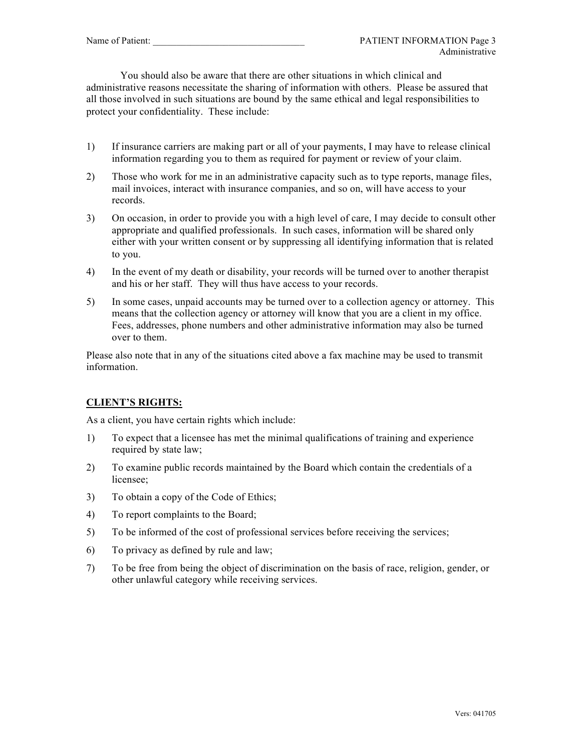You should also be aware that there are other situations in which clinical and administrative reasons necessitate the sharing of information with others. Please be assured that all those involved in such situations are bound by the same ethical and legal responsibilities to protect your confidentiality. These include:

- 1) If insurance carriers are making part or all of your payments, I may have to release clinical information regarding you to them as required for payment or review of your claim.
- 2) Those who work for me in an administrative capacity such as to type reports, manage files, mail invoices, interact with insurance companies, and so on, will have access to your records.
- 3) On occasion, in order to provide you with a high level of care, I may decide to consult other appropriate and qualified professionals. In such cases, information will be shared only either with your written consent or by suppressing all identifying information that is related to you.
- 4) In the event of my death or disability, your records will be turned over to another therapist and his or her staff. They will thus have access to your records.
- 5) In some cases, unpaid accounts may be turned over to a collection agency or attorney. This means that the collection agency or attorney will know that you are a client in my office. Fees, addresses, phone numbers and other administrative information may also be turned over to them.

Please also note that in any of the situations cited above a fax machine may be used to transmit information.

## **CLIENT'S RIGHTS:**

As a client, you have certain rights which include:

- 1) To expect that a licensee has met the minimal qualifications of training and experience required by state law;
- 2) To examine public records maintained by the Board which contain the credentials of a licensee;
- 3) To obtain a copy of the Code of Ethics;
- 4) To report complaints to the Board;
- 5) To be informed of the cost of professional services before receiving the services;
- 6) To privacy as defined by rule and law;
- 7) To be free from being the object of discrimination on the basis of race, religion, gender, or other unlawful category while receiving services.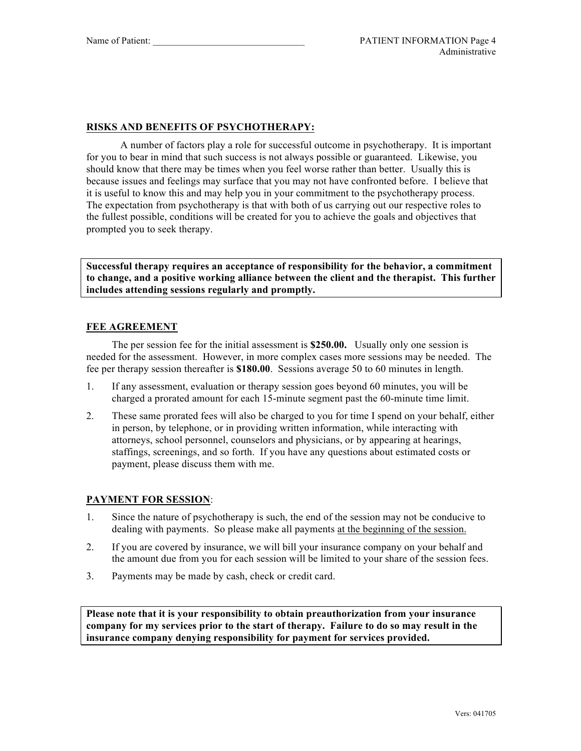### **RISKS AND BENEFITS OF PSYCHOTHERAPY:**

A number of factors play a role for successful outcome in psychotherapy. It is important for you to bear in mind that such success is not always possible or guaranteed. Likewise, you should know that there may be times when you feel worse rather than better. Usually this is because issues and feelings may surface that you may not have confronted before. I believe that it is useful to know this and may help you in your commitment to the psychotherapy process. The expectation from psychotherapy is that with both of us carrying out our respective roles to the fullest possible, conditions will be created for you to achieve the goals and objectives that prompted you to seek therapy.

**Successful therapy requires an acceptance of responsibility for the behavior, a commitment to change, and a positive working alliance between the client and the therapist. This further includes attending sessions regularly and promptly.**

#### **FEE AGREEMENT**

The per session fee for the initial assessment is **\$250.00.** Usually only one session is needed for the assessment. However, in more complex cases more sessions may be needed. The fee per therapy session thereafter is **\$180.00**. Sessions average 50 to 60 minutes in length.

- 1. If any assessment, evaluation or therapy session goes beyond 60 minutes, you will be charged a prorated amount for each 15-minute segment past the 60-minute time limit.
- 2. These same prorated fees will also be charged to you for time I spend on your behalf, either in person, by telephone, or in providing written information, while interacting with attorneys, school personnel, counselors and physicians, or by appearing at hearings, staffings, screenings, and so forth. If you have any questions about estimated costs or payment, please discuss them with me.

#### **PAYMENT FOR SESSION**:

- 1. Since the nature of psychotherapy is such, the end of the session may not be conducive to dealing with payments. So please make all payments at the beginning of the session.
- 2. If you are covered by insurance, we will bill your insurance company on your behalf and the amount due from you for each session will be limited to your share of the session fees.
- 3. Payments may be made by cash, check or credit card.

**Please note that it is your responsibility to obtain preauthorization from your insurance company for my services prior to the start of therapy. Failure to do so may result in the insurance company denying responsibility for payment for services provided.**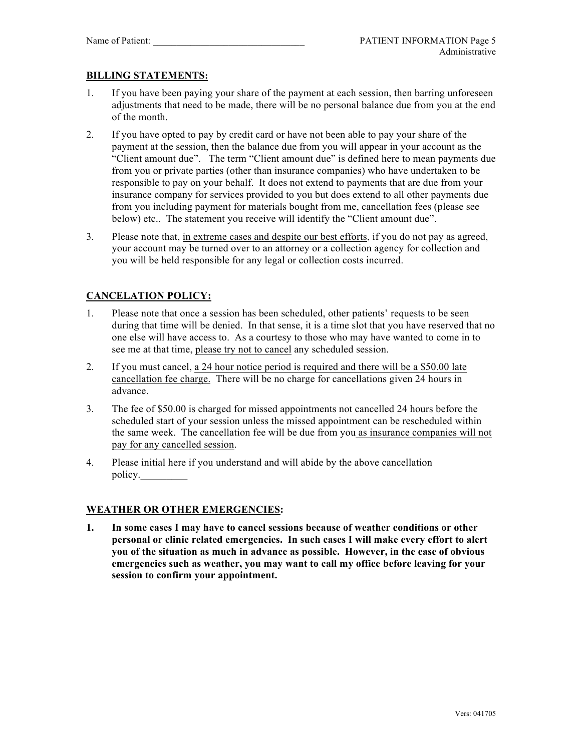## **BILLING STATEMENTS:**

- 1. If you have been paying your share of the payment at each session, then barring unforeseen adjustments that need to be made, there will be no personal balance due from you at the end of the month.
- 2. If you have opted to pay by credit card or have not been able to pay your share of the payment at the session, then the balance due from you will appear in your account as the "Client amount due". The term "Client amount due" is defined here to mean payments due from you or private parties (other than insurance companies) who have undertaken to be responsible to pay on your behalf. It does not extend to payments that are due from your insurance company for services provided to you but does extend to all other payments due from you including payment for materials bought from me, cancellation fees (please see below) etc.. The statement you receive will identify the "Client amount due".
- 3. Please note that, in extreme cases and despite our best efforts, if you do not pay as agreed, your account may be turned over to an attorney or a collection agency for collection and you will be held responsible for any legal or collection costs incurred.

## **CANCELATION POLICY:**

- 1. Please note that once a session has been scheduled, other patients' requests to be seen during that time will be denied. In that sense, it is a time slot that you have reserved that no one else will have access to. As a courtesy to those who may have wanted to come in to see me at that time, please try not to cancel any scheduled session.
- 2. If you must cancel, a 24 hour notice period is required and there will be a \$50.00 late cancellation fee charge. There will be no charge for cancellations given 24 hours in advance.
- 3. The fee of \$50.00 is charged for missed appointments not cancelled 24 hours before the scheduled start of your session unless the missed appointment can be rescheduled within the same week. The cancellation fee will be due from you as insurance companies will not pay for any cancelled session.
- 4. Please initial here if you understand and will abide by the above cancellation policy.

### **WEATHER OR OTHER EMERGENCIES:**

**1. In some cases I may have to cancel sessions because of weather conditions or other personal or clinic related emergencies. In such cases I will make every effort to alert you of the situation as much in advance as possible. However, in the case of obvious emergencies such as weather, you may want to call my office before leaving for your session to confirm your appointment.**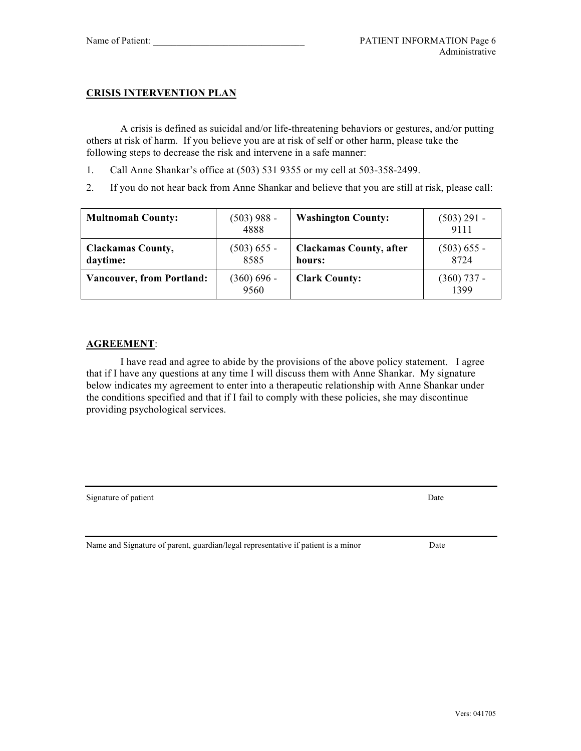### **CRISIS INTERVENTION PLAN**

A crisis is defined as suicidal and/or life-threatening behaviors or gestures, and/or putting others at risk of harm. If you believe you are at risk of self or other harm, please take the following steps to decrease the risk and intervene in a safe manner:

- 1. Call Anne Shankar's office at (503) 531 9355 or my cell at 503-358-2499.
- 2. If you do not hear back from Anne Shankar and believe that you are still at risk, please call:

| <b>Multnomah County:</b>             | (503) 988 -<br>4888 | <b>Washington County:</b>                | (503) 291 -<br>9111   |
|--------------------------------------|---------------------|------------------------------------------|-----------------------|
| <b>Clackamas County,</b><br>daytime: | (503) 655 -<br>8585 | <b>Clackamas County, after</b><br>hours: | (503) 655 -<br>8724   |
| <b>Vancouver, from Portland:</b>     | (360) 696 -<br>9560 | <b>Clark County:</b>                     | $(360)$ 737 -<br>1399 |

### **AGREEMENT**:

I have read and agree to abide by the provisions of the above policy statement. I agree that if I have any questions at any time I will discuss them with Anne Shankar. My signature below indicates my agreement to enter into a therapeutic relationship with Anne Shankar under the conditions specified and that if I fail to comply with these policies, she may discontinue providing psychological services.

Signature of patient Date Date of  $\Box$ 

Name and Signature of parent, guardian/legal representative if patient is a minor Date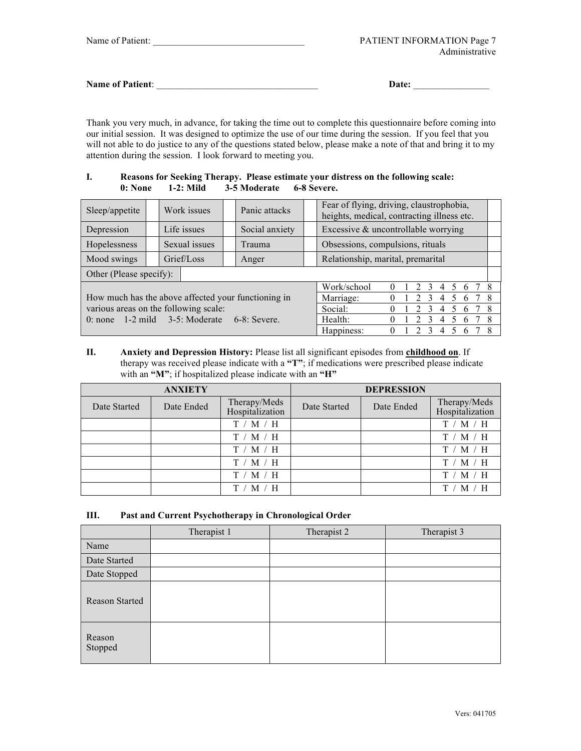| <b>Name of Patient:</b> | <b>Date:</b> |  |
|-------------------------|--------------|--|
|                         |              |  |

Thank you very much, in advance, for taking the time out to complete this questionnaire before coming into our initial session. It was designed to optimize the use of our time during the session. If you feel that you will not able to do justice to any of the questions stated below, please make a note of that and bring it to my attention during the session. I look forward to meeting you.

#### **I. Reasons for Seeking Therapy. Please estimate your distress on the following scale: 0: None 1-2: Mild 3-5 Moderate 6-8 Severe.**

| Sleep/appetite                                      |                         | Work issues   |  |         | Panic attacks  |         | Fear of flying, driving, claustrophobia,<br>heights, medical, contracting illness etc. |  |  |  |   |                |   |   |   |   |
|-----------------------------------------------------|-------------------------|---------------|--|---------|----------------|---------|----------------------------------------------------------------------------------------|--|--|--|---|----------------|---|---|---|---|
| Depression                                          |                         | Life issues   |  |         | Social anxiety |         | Excessive & uncontrollable worrying                                                    |  |  |  |   |                |   |   |   |   |
| Hopelessness                                        |                         | Sexual issues |  |         | Trauma         |         | Obsessions, compulsions, rituals                                                       |  |  |  |   |                |   |   |   |   |
| Mood swings                                         |                         | Grief/Loss    |  |         | Anger          |         | Relationship, marital, premarital                                                      |  |  |  |   |                |   |   |   |   |
|                                                     | Other (Please specify): |               |  |         |                |         |                                                                                        |  |  |  |   |                |   |   |   |   |
|                                                     |                         |               |  |         |                |         | Work/school                                                                            |  |  |  |   |                |   |   |   |   |
| How much has the above affected your functioning in |                         |               |  |         |                |         | Marriage:                                                                              |  |  |  |   | $\overline{4}$ |   | 6 |   | 8 |
| various areas on the following scale:               |                         |               |  |         |                | Social: |                                                                                        |  |  |  | 4 |                | 6 |   | 8 |   |
| 0: none $1-2$ mild $3-5$ : Moderate<br>$6-8$ Severe |                         |               |  | Health: |                |         |                                                                                        |  |  |  |   |                | 8 |   |   |   |
|                                                     |                         |               |  |         |                |         | Happiness:                                                                             |  |  |  |   |                |   |   |   |   |

**II. Anxiety and Depression History:** Please list all significant episodes from **childhood on**. If therapy was received please indicate with a **"T"**; if medications were prescribed please indicate with an **"M"**; if hospitalized please indicate with an **"H"**

|              | <b>ANXIETY</b> |                                 | <b>DEPRESSION</b> |            |                                 |  |
|--------------|----------------|---------------------------------|-------------------|------------|---------------------------------|--|
| Date Started | Date Ended     | Therapy/Meds<br>Hospitalization | Date Started      | Date Ended | Therapy/Meds<br>Hospitalization |  |
|              |                | T / M / H                       |                   |            | T / M / H                       |  |
|              |                | T / M / H                       |                   |            | T / M / H                       |  |
|              |                | T / M / H                       |                   |            | T / M / H                       |  |
|              |                | T / M / H                       |                   |            | ′ M / H<br>T/                   |  |
|              |                | T / M / H                       |                   |            | $^{\prime}$ M / H<br>T/         |  |
|              |                | M/H                             |                   |            |                                 |  |

#### **III. Past and Current Psychotherapy in Chronological Order**

|                   | Therapist 1 | Therapist 2 | Therapist 3 |
|-------------------|-------------|-------------|-------------|
| Name              |             |             |             |
| Date Started      |             |             |             |
| Date Stopped      |             |             |             |
| Reason Started    |             |             |             |
| Reason<br>Stopped |             |             |             |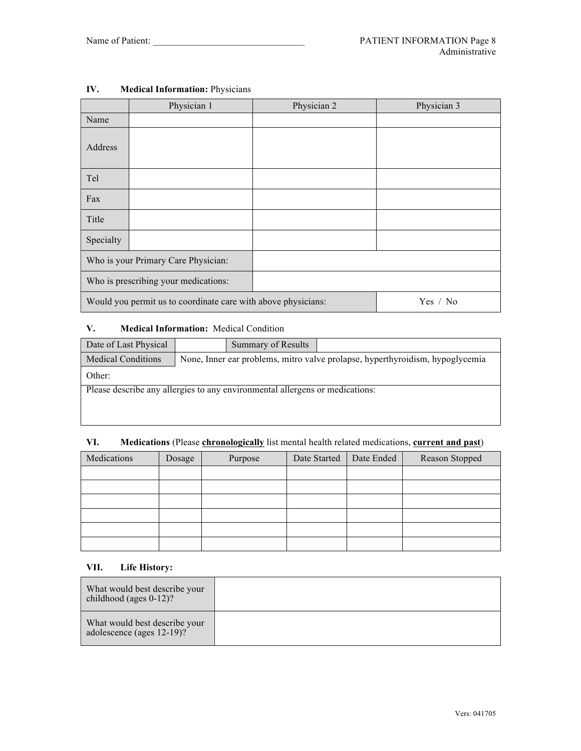|           | Physician 1                                                   | Physician 2 | Physician 3 |
|-----------|---------------------------------------------------------------|-------------|-------------|
| Name      |                                                               |             |             |
| Address   |                                                               |             |             |
| Tel       |                                                               |             |             |
| Fax       |                                                               |             |             |
| Title     |                                                               |             |             |
| Specialty |                                                               |             |             |
|           | Who is your Primary Care Physician:                           |             |             |
|           | Who is prescribing your medications:                          |             |             |
|           | Would you permit us to coordinate care with above physicians: |             | Yes / No    |

## **IV. Medical Information:** Physicians

## **V. Medical Information:** Medical Condition

| Date of Last Physical                                                        |                                                                               | Summary of Results |  |  |  |  |  |
|------------------------------------------------------------------------------|-------------------------------------------------------------------------------|--------------------|--|--|--|--|--|
| <b>Medical Conditions</b>                                                    | None, Inner ear problems, mitro valve prolapse, hyperthyroidism, hypoglycemia |                    |  |  |  |  |  |
| Other:                                                                       |                                                                               |                    |  |  |  |  |  |
| Please describe any allergies to any environmental allergens or medications: |                                                                               |                    |  |  |  |  |  |
|                                                                              |                                                                               |                    |  |  |  |  |  |
|                                                                              |                                                                               |                    |  |  |  |  |  |

### **VI. Medications** (Please **chronologically** list mental health related medications, **current and past**)

| Medications | Dosage | Purpose | Date Started<br>Date Ended |  | Reason Stopped |  |
|-------------|--------|---------|----------------------------|--|----------------|--|
|             |        |         |                            |  |                |  |
|             |        |         |                            |  |                |  |
|             |        |         |                            |  |                |  |
|             |        |         |                            |  |                |  |
|             |        |         |                            |  |                |  |
|             |        |         |                            |  |                |  |

#### **VII. Life History:**

| What would best describe your<br>childhood (ages $0-12$ )? |  |
|------------------------------------------------------------|--|
| What would best describe your<br>adolescence (ages 12-19)? |  |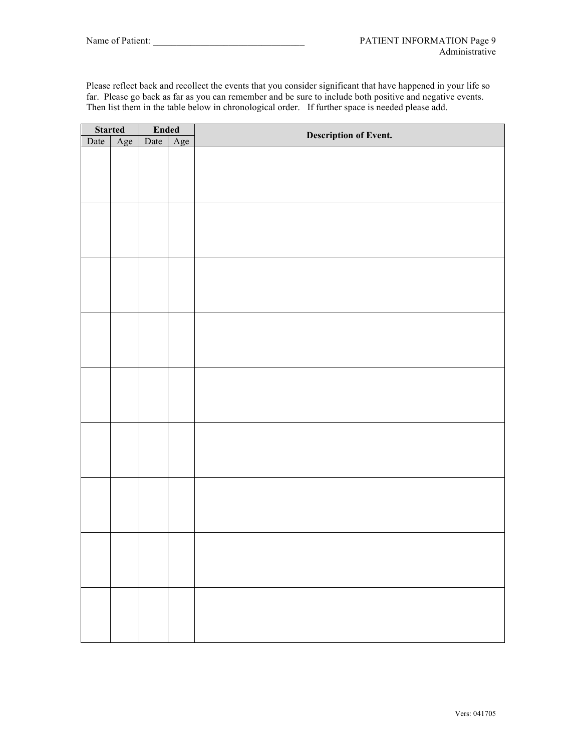Please reflect back and recollect the events that you consider significant that have happened in your life so far. Please go back as far as you can remember and be sure to include both positive and negative events. Then list them in the table below in chronological order. If further space is needed please add.

| <b>Started</b><br>Ended<br>ate Age |     | <b>Description of Event.</b> |  |  |  |  |
|------------------------------------|-----|------------------------------|--|--|--|--|
| Date                               | Age | Date                         |  |  |  |  |
|                                    |     |                              |  |  |  |  |
|                                    |     |                              |  |  |  |  |
|                                    |     |                              |  |  |  |  |
|                                    |     |                              |  |  |  |  |
|                                    |     |                              |  |  |  |  |
|                                    |     |                              |  |  |  |  |
|                                    |     |                              |  |  |  |  |
|                                    |     |                              |  |  |  |  |
|                                    |     |                              |  |  |  |  |
|                                    |     |                              |  |  |  |  |
|                                    |     |                              |  |  |  |  |
|                                    |     |                              |  |  |  |  |
|                                    |     |                              |  |  |  |  |
|                                    |     |                              |  |  |  |  |
|                                    |     |                              |  |  |  |  |
|                                    |     |                              |  |  |  |  |
|                                    |     |                              |  |  |  |  |
|                                    |     |                              |  |  |  |  |
|                                    |     |                              |  |  |  |  |
|                                    |     |                              |  |  |  |  |
|                                    |     |                              |  |  |  |  |
|                                    |     |                              |  |  |  |  |
|                                    |     |                              |  |  |  |  |
|                                    |     |                              |  |  |  |  |
|                                    |     |                              |  |  |  |  |
|                                    |     |                              |  |  |  |  |
|                                    |     |                              |  |  |  |  |
|                                    |     |                              |  |  |  |  |
|                                    |     |                              |  |  |  |  |
|                                    |     |                              |  |  |  |  |
|                                    |     |                              |  |  |  |  |
|                                    |     |                              |  |  |  |  |
|                                    |     |                              |  |  |  |  |
|                                    |     |                              |  |  |  |  |
|                                    |     |                              |  |  |  |  |
|                                    |     |                              |  |  |  |  |
|                                    |     |                              |  |  |  |  |
|                                    |     |                              |  |  |  |  |
|                                    |     |                              |  |  |  |  |
|                                    |     |                              |  |  |  |  |
|                                    |     |                              |  |  |  |  |
|                                    |     |                              |  |  |  |  |
|                                    |     |                              |  |  |  |  |
|                                    |     |                              |  |  |  |  |
|                                    |     |                              |  |  |  |  |
|                                    |     |                              |  |  |  |  |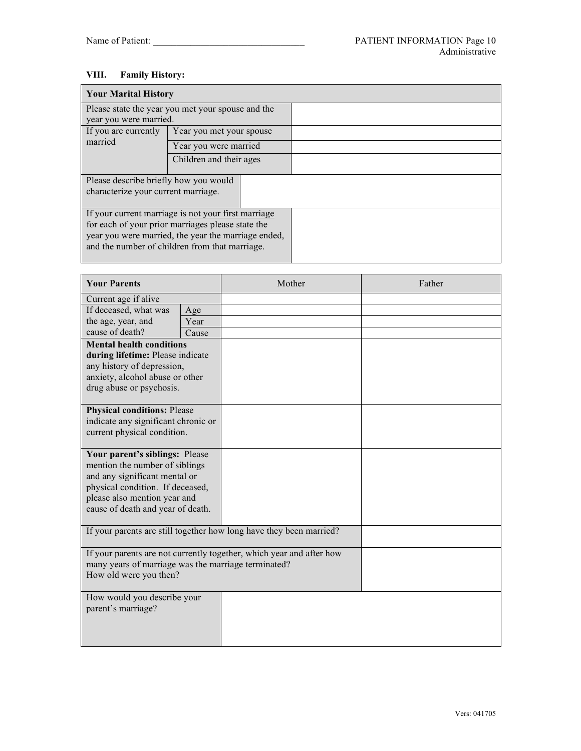# **VIII. Family History:**

| <b>Your Marital History</b>                                                  |                                                                                                                                                                                                                   |  |  |  |  |  |  |
|------------------------------------------------------------------------------|-------------------------------------------------------------------------------------------------------------------------------------------------------------------------------------------------------------------|--|--|--|--|--|--|
|                                                                              | Please state the year you met your spouse and the                                                                                                                                                                 |  |  |  |  |  |  |
| year you were married.                                                       |                                                                                                                                                                                                                   |  |  |  |  |  |  |
| If you are currently                                                         | Year you met your spouse                                                                                                                                                                                          |  |  |  |  |  |  |
| married                                                                      | Year you were married                                                                                                                                                                                             |  |  |  |  |  |  |
|                                                                              | Children and their ages                                                                                                                                                                                           |  |  |  |  |  |  |
| Please describe briefly how you would<br>characterize your current marriage. |                                                                                                                                                                                                                   |  |  |  |  |  |  |
|                                                                              | If your current marriage is not your first marriage<br>for each of your prior marriages please state the<br>year you were married, the year the marriage ended,<br>and the number of children from that marriage. |  |  |  |  |  |  |

| <b>Your Parents</b>                                 |       | Mother                                                               | Father |
|-----------------------------------------------------|-------|----------------------------------------------------------------------|--------|
| Current age if alive                                |       |                                                                      |        |
| If deceased, what was                               | Age   |                                                                      |        |
| the age, year, and                                  | Year  |                                                                      |        |
| cause of death?                                     | Cause |                                                                      |        |
| <b>Mental health conditions</b>                     |       |                                                                      |        |
| during lifetime: Please indicate                    |       |                                                                      |        |
| any history of depression,                          |       |                                                                      |        |
| anxiety, alcohol abuse or other                     |       |                                                                      |        |
| drug abuse or psychosis.                            |       |                                                                      |        |
| <b>Physical conditions: Please</b>                  |       |                                                                      |        |
| indicate any significant chronic or                 |       |                                                                      |        |
| current physical condition.                         |       |                                                                      |        |
|                                                     |       |                                                                      |        |
| Your parent's siblings: Please                      |       |                                                                      |        |
| mention the number of siblings                      |       |                                                                      |        |
| and any significant mental or                       |       |                                                                      |        |
| physical condition. If deceased,                    |       |                                                                      |        |
| please also mention year and                        |       |                                                                      |        |
| cause of death and year of death.                   |       |                                                                      |        |
|                                                     |       |                                                                      |        |
|                                                     |       | If your parents are still together how long have they been married?  |        |
|                                                     |       | If your parents are not currently together, which year and after how |        |
| many years of marriage was the marriage terminated? |       |                                                                      |        |
| How old were you then?                              |       |                                                                      |        |
| How would you describe your                         |       |                                                                      |        |
| parent's marriage?                                  |       |                                                                      |        |
|                                                     |       |                                                                      |        |
|                                                     |       |                                                                      |        |
|                                                     |       |                                                                      |        |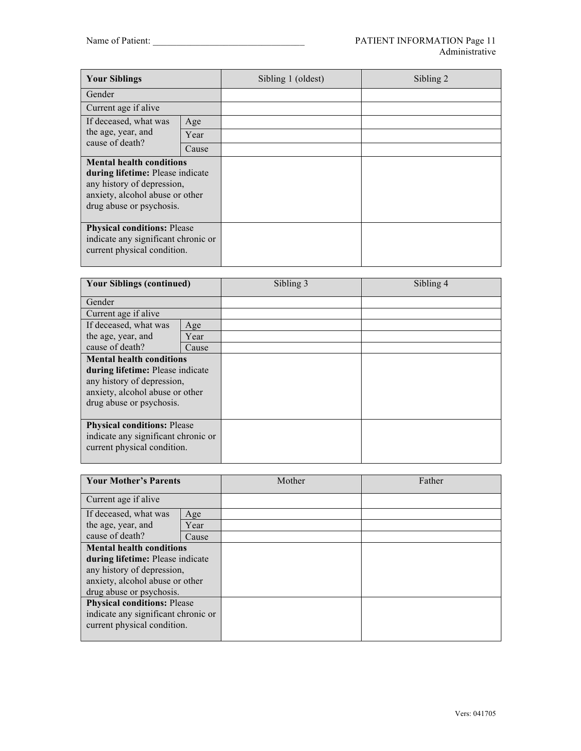| <b>Your Siblings</b>                                                                                                                                             |       | Sibling 1 (oldest) | Sibling 2 |
|------------------------------------------------------------------------------------------------------------------------------------------------------------------|-------|--------------------|-----------|
| Gender                                                                                                                                                           |       |                    |           |
| Current age if alive                                                                                                                                             |       |                    |           |
| If deceased, what was                                                                                                                                            | Age   |                    |           |
| the age, year, and                                                                                                                                               | Year  |                    |           |
| cause of death?                                                                                                                                                  | Cause |                    |           |
| <b>Mental health conditions</b><br>during lifetime: Please indicate<br>any history of depression,<br>anxiety, alcohol abuse or other<br>drug abuse or psychosis. |       |                    |           |
| <b>Physical conditions: Please</b><br>indicate any significant chronic or<br>current physical condition.                                                         |       |                    |           |

| <b>Your Siblings (continued)</b>                                                                                                                                        |       | Sibling 3 | Sibling 4 |
|-------------------------------------------------------------------------------------------------------------------------------------------------------------------------|-------|-----------|-----------|
| Gender                                                                                                                                                                  |       |           |           |
| Current age if alive                                                                                                                                                    |       |           |           |
| If deceased, what was                                                                                                                                                   | Age   |           |           |
| the age, year, and                                                                                                                                                      | Year  |           |           |
| cause of death?                                                                                                                                                         | Cause |           |           |
| <b>Mental health conditions</b><br><b>during lifetime:</b> Please indicate<br>any history of depression,<br>anxiety, alcohol abuse or other<br>drug abuse or psychosis. |       |           |           |
| <b>Physical conditions: Please</b><br>indicate any significant chronic or<br>current physical condition.                                                                |       |           |           |

| <b>Your Mother's Parents</b>        |       | Mother | Father |
|-------------------------------------|-------|--------|--------|
| Current age if alive                |       |        |        |
| If deceased, what was               | Age   |        |        |
| the age, year, and                  | Year  |        |        |
| cause of death?                     | Cause |        |        |
| <b>Mental health conditions</b>     |       |        |        |
| during lifetime: Please indicate    |       |        |        |
| any history of depression,          |       |        |        |
| anxiety, alcohol abuse or other     |       |        |        |
| drug abuse or psychosis.            |       |        |        |
| <b>Physical conditions: Please</b>  |       |        |        |
| indicate any significant chronic or |       |        |        |
| current physical condition.         |       |        |        |
|                                     |       |        |        |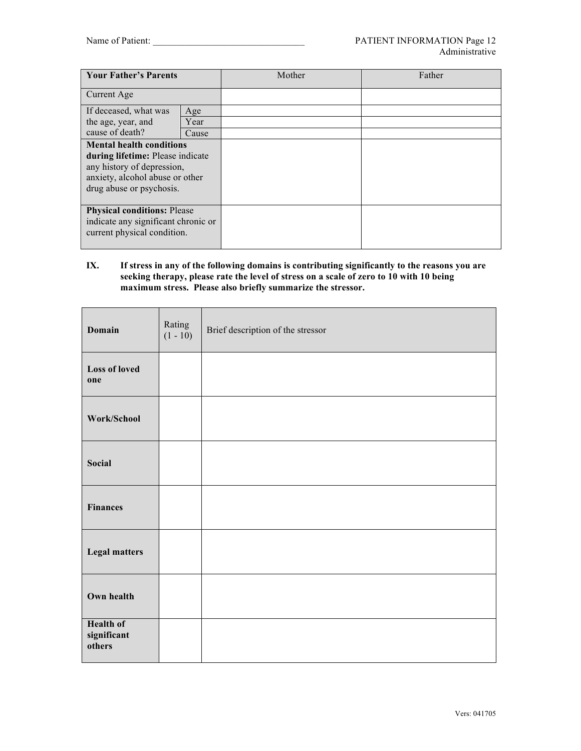| <b>Your Father's Parents</b>                                                                                                                                     |       | Mother | Father |
|------------------------------------------------------------------------------------------------------------------------------------------------------------------|-------|--------|--------|
| Current Age                                                                                                                                                      |       |        |        |
| If deceased, what was                                                                                                                                            | Age   |        |        |
| the age, year, and                                                                                                                                               | Year  |        |        |
| cause of death?                                                                                                                                                  | Cause |        |        |
| <b>Mental health conditions</b><br>during lifetime: Please indicate<br>any history of depression,<br>anxiety, alcohol abuse or other<br>drug abuse or psychosis. |       |        |        |
| <b>Physical conditions: Please</b><br>indicate any significant chronic or<br>current physical condition.                                                         |       |        |        |

#### **IX. If stress in any of the following domains is contributing significantly to the reasons you are seeking therapy, please rate the level of stress on a scale of zero to 10 with 10 being maximum stress. Please also briefly summarize the stressor.**

| Domain                                    | Rating<br>$(1 - 10)$ | Brief description of the stressor |
|-------------------------------------------|----------------------|-----------------------------------|
| <b>Loss of loved</b><br>one               |                      |                                   |
| Work/School                               |                      |                                   |
| Social                                    |                      |                                   |
| <b>Finances</b>                           |                      |                                   |
| <b>Legal matters</b>                      |                      |                                   |
| Own health                                |                      |                                   |
| <b>Health of</b><br>significant<br>others |                      |                                   |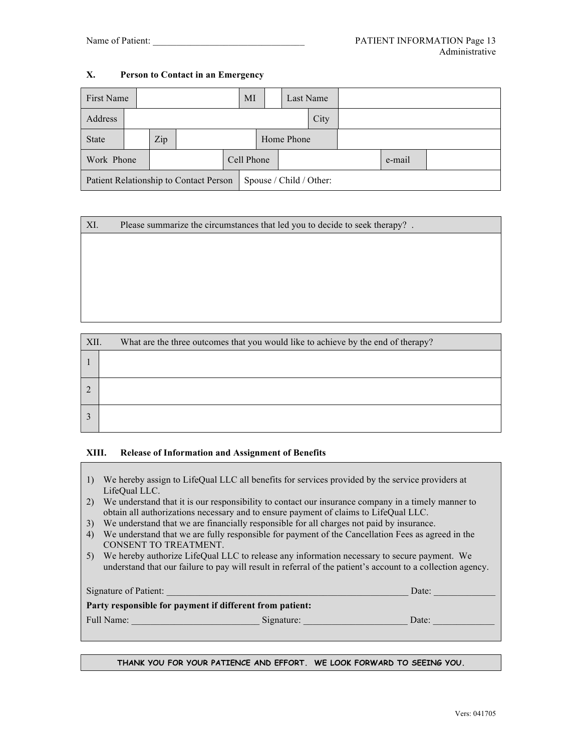### **X. Person to Contact in an Emergency**

| First Name                                                        |      |     |  | MI         |  | Last Name  |  |  |  |
|-------------------------------------------------------------------|------|-----|--|------------|--|------------|--|--|--|
| Address                                                           | City |     |  |            |  |            |  |  |  |
| State                                                             |      | Zip |  |            |  | Home Phone |  |  |  |
| Work Phone                                                        |      |     |  | Cell Phone |  | e-mail     |  |  |  |
| Patient Relationship to Contact Person<br>Spouse / Child / Other: |      |     |  |            |  |            |  |  |  |

#### XI. Please summarize the circumstances that led you to decide to seek therapy? .

| XII. | What are the three outcomes that you would like to achieve by the end of therapy? |
|------|-----------------------------------------------------------------------------------|
|      |                                                                                   |
|      |                                                                                   |
|      |                                                                                   |

#### **XIII. Release of Information and Assignment of Benefits**

- 1) We hereby assign to LifeQual LLC all benefits for services provided by the service providers at LifeQual LLC.
- 2) We understand that it is our responsibility to contact our insurance company in a timely manner to obtain all authorizations necessary and to ensure payment of claims to LifeQual LLC.
- 3) We understand that we are financially responsible for all charges not paid by insurance.
- 4) We understand that we are fully responsible for payment of the Cancellation Fees as agreed in the CONSENT TO TREATMENT.
- 5) We hereby authorize LifeQual LLC to release any information necessary to secure payment. We understand that our failure to pay will result in referral of the patient's account to a collection agency.

| Signature of Patient:                                    |            | Date: |
|----------------------------------------------------------|------------|-------|
| Party responsible for payment if different from patient: |            |       |
| Full Name:                                               | Signature: | Date: |

#### **THANK YOU FOR YOUR PATIENCE AND EFFORT. WE LOOK FORWARD TO SEEING YOU.**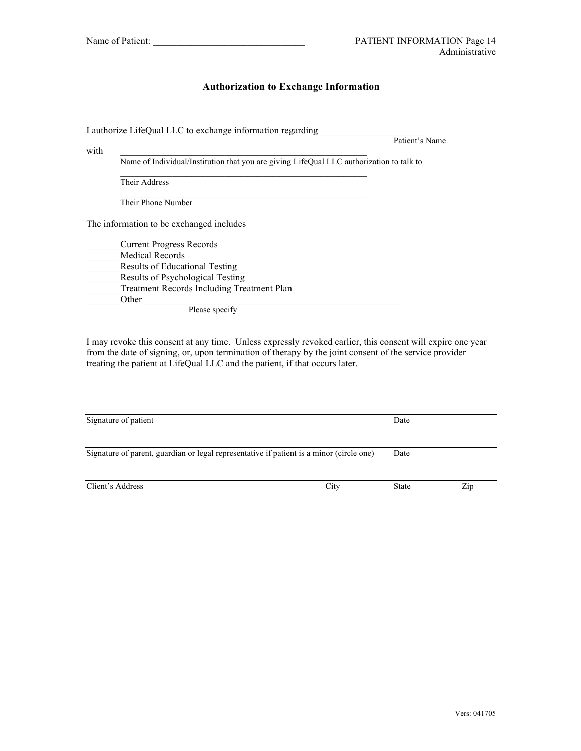### **Authorization to Exchange Information**

I authorize LifeQual LLC to exchange information regarding \_\_\_\_\_\_\_\_\_\_\_\_\_\_\_\_\_\_\_\_\_ Patient's Name with  $\Box$ Name of Individual/Institution that you are giving LifeQual LLC authorization to talk to Their Address Their Phone Number The information to be exchanged includes \_\_\_\_\_\_\_Current Progress Records \_\_\_\_\_\_\_Medical Records **Results of Educational Testing Example 3** Results of Psychological Testing \_\_\_\_\_\_\_Treatment Records Including Treatment Plan Other  $\Box$ Please specify

I may revoke this consent at any time. Unless expressly revoked earlier, this consent will expire one year from the date of signing, or, upon termination of therapy by the joint consent of the service provider treating the patient at LifeQual LLC and the patient, if that occurs later.

| Signature of patient                                                                     |      | Date         |     |
|------------------------------------------------------------------------------------------|------|--------------|-----|
| Signature of parent, guardian or legal representative if patient is a minor (circle one) |      | Date         |     |
| Client's Address                                                                         | City | <b>State</b> | Zip |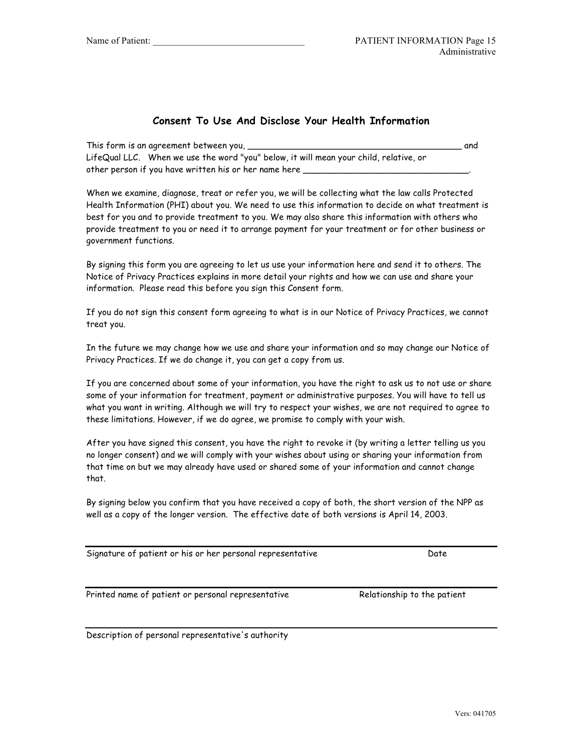## **Consent To Use And Disclose Your Health Information**

| This form is an agreement between you,                                                | and |
|---------------------------------------------------------------------------------------|-----|
| LifeQual LLC. When we use the word "you" below, it will mean your child, relative, or |     |
| other person if you have written his or her name here                                 |     |

When we examine, diagnose, treat or refer you, we will be collecting what the law calls Protected Health Information (PHI) about you. We need to use this information to decide on what treatment is best for you and to provide treatment to you. We may also share this information with others who provide treatment to you or need it to arrange payment for your treatment or for other business or government functions.

By signing this form you are agreeing to let us use your information here and send it to others. The Notice of Privacy Practices explains in more detail your rights and how we can use and share your information. Please read this before you sign this Consent form.

If you do not sign this consent form agreeing to what is in our Notice of Privacy Practices, we cannot treat you.

In the future we may change how we use and share your information and so may change our Notice of Privacy Practices. If we do change it, you can get a copy from us.

If you are concerned about some of your information, you have the right to ask us to not use or share some of your information for treatment, payment or administrative purposes. You will have to tell us what you want in writing. Although we will try to respect your wishes, we are not required to agree to these limitations. However, if we do agree, we promise to comply with your wish.

After you have signed this consent, you have the right to revoke it (by writing a letter telling us you no longer consent) and we will comply with your wishes about using or sharing your information from that time on but we may already have used or shared some of your information and cannot change that.

By signing below you confirm that you have received a copy of both, the short version of the NPP as well as a copy of the longer version. The effective date of both versions is April 14, 2003.

Signature of patient or his or her personal representative Theorem Contents of the Date

Printed name of patient or personal representative Relationship to the patient

Description of personal representative's authority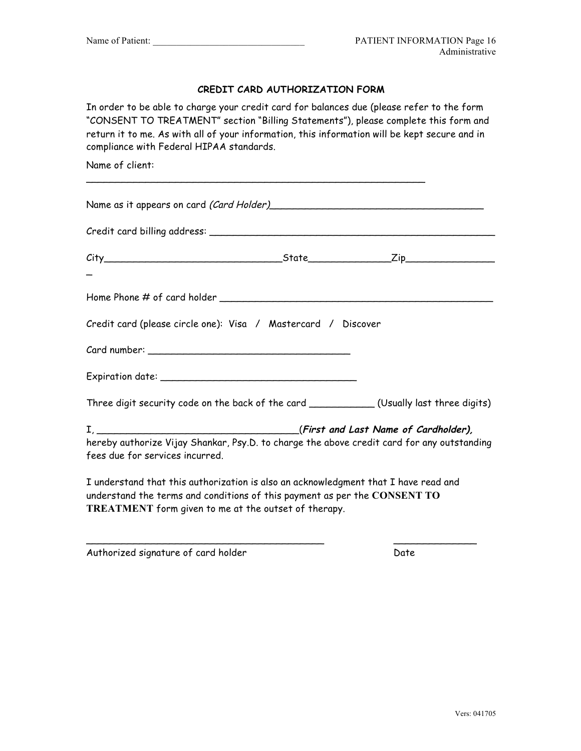## **CREDIT CARD AUTHORIZATION FORM**

In order to be able to charge your credit card for balances due (please refer to the form "CONSENT TO TREATMENT" section "Billing Statements"), please complete this form and return it to me. As with all of your information, this information will be kept secure and in compliance with Federal HIPAA standards.

\_\_\_\_\_\_\_\_\_\_\_\_\_\_\_\_\_\_\_\_\_\_\_\_\_\_\_\_\_\_\_\_\_\_\_\_\_\_\_\_\_\_\_\_\_\_\_\_\_\_\_\_\_\_\_\_\_

Name of client:

| Credit card (please circle one): Visa / Mastercard / Discover                                                                                                                                                            |  |  |  |
|--------------------------------------------------------------------------------------------------------------------------------------------------------------------------------------------------------------------------|--|--|--|
|                                                                                                                                                                                                                          |  |  |  |
|                                                                                                                                                                                                                          |  |  |  |
| Three digit security code on the back of the card ______________(Usually last three digits)                                                                                                                              |  |  |  |
| hereby authorize Vijay Shankar, Psy.D. to charge the above credit card for any outstanding<br>fees due for services incurred.                                                                                            |  |  |  |
| I understand that this authorization is also an acknowledgment that I have read and<br>understand the terms and conditions of this payment as per the CONSENT TO<br>TREATMENT form given to me at the outset of therapy. |  |  |  |

\_\_\_\_\_\_\_\_\_\_\_\_\_\_\_\_\_\_\_\_\_\_\_\_\_\_\_\_\_\_\_\_\_\_\_\_\_\_\_\_ \_\_\_\_\_\_\_\_\_\_\_\_\_\_

Authorized signature of card holder and the Date Date